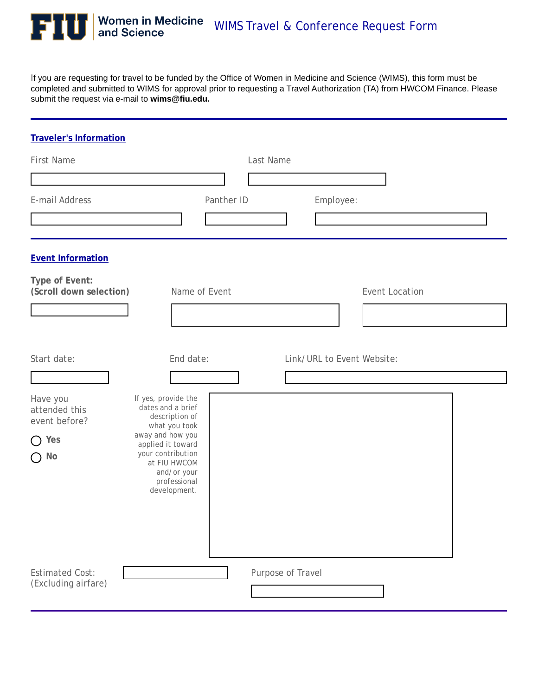

If you are requesting for travel to be funded by the Office of Women in Medicine and Science (WIMS), this form must be completed and submitted to WIMS for approval prior to requesting a Travel Authorization (TA) from HWCOM Finance. Please submit the request via e-mail to **wims@fiu.edu.** 

| <b>Traveler's Information</b>                 |                                                                                  |               |                   |                            |                       |                        |
|-----------------------------------------------|----------------------------------------------------------------------------------|---------------|-------------------|----------------------------|-----------------------|------------------------|
| <b>First Name</b>                             |                                                                                  |               | Last Name         |                            |                       |                        |
|                                               |                                                                                  |               |                   |                            |                       |                        |
| E-mail Address                                |                                                                                  | Panther ID    |                   | Employee:                  |                       |                        |
|                                               |                                                                                  |               |                   |                            |                       | $\left  \cdot \right $ |
| <b>Event Information</b>                      |                                                                                  |               |                   |                            |                       |                        |
| Type of Event:<br>(Scroll down selection)     |                                                                                  | Name of Event |                   |                            | <b>Event Location</b> |                        |
| $\blacktriangledown$                          |                                                                                  |               |                   |                            |                       |                        |
| Start date:<br>Have you                       | End date:<br>If yes, provide the                                                 |               |                   | Link/URL to Event Website: |                       |                        |
| attended this<br>event before?                | dates and a brief<br>description of                                              |               |                   |                            |                       |                        |
| $\bigcap$ Yes                                 | what you took<br>away and how you<br>applied it toward                           |               |                   |                            |                       |                        |
| $\bigcap$ No                                  | your contribution<br>at FIU HWCOM<br>and/or your<br>professional<br>development. |               |                   |                            |                       |                        |
| <b>Estimated Cost:</b><br>(Excluding airfare) |                                                                                  |               | Purpose of Travel |                            | $\blacktriangledown$  |                        |